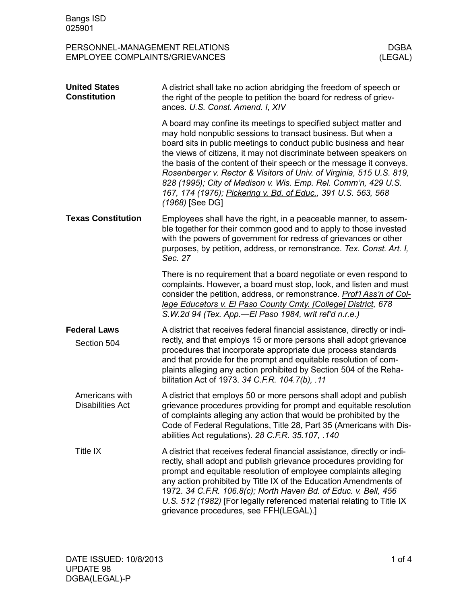PERSONNEL-MANAGEMENT RELATIONS DGBA<br>EMPLOYEE COMPLAINTS/GRIEVANCES (LEGAL) EMPLOYEE COMPLAINTS/GRIEVANCES

| <b>United States</b><br><b>Constitution</b> | A district shall take no action abridging the freedom of speech or<br>the right of the people to petition the board for redress of griev-<br>ances. U.S. Const. Amend. I, XIV                                                                                                                                                                                                                                                                                                                                                                                                    |
|---------------------------------------------|----------------------------------------------------------------------------------------------------------------------------------------------------------------------------------------------------------------------------------------------------------------------------------------------------------------------------------------------------------------------------------------------------------------------------------------------------------------------------------------------------------------------------------------------------------------------------------|
|                                             | A board may confine its meetings to specified subject matter and<br>may hold nonpublic sessions to transact business. But when a<br>board sits in public meetings to conduct public business and hear<br>the views of citizens, it may not discriminate between speakers on<br>the basis of the content of their speech or the message it conveys.<br>Rosenberger v. Rector & Visitors of Univ. of Virginia, 515 U.S. 819,<br>828 (1995); City of Madison v. Wis. Emp. Rel. Comm'n, 429 U.S.<br>167, 174 (1976); Pickering v. Bd. of Educ., 391 U.S. 563, 568<br>(1968) [See DG] |
| <b>Texas Constitution</b>                   | Employees shall have the right, in a peaceable manner, to assem-<br>ble together for their common good and to apply to those invested<br>with the powers of government for redress of grievances or other<br>purposes, by petition, address, or remonstrance. Tex. Const. Art. I,<br>Sec. 27                                                                                                                                                                                                                                                                                     |
|                                             | There is no requirement that a board negotiate or even respond to<br>complaints. However, a board must stop, look, and listen and must<br>consider the petition, address, or remonstrance. Prof'l Ass'n of Col-<br>lege Educators v. El Paso County Cmty. [College] District, 678<br>S.W.2d 94 (Tex. App.—El Paso 1984, writ ref'd n.r.e.)                                                                                                                                                                                                                                       |
| <b>Federal Laws</b><br>Section 504          | A district that receives federal financial assistance, directly or indi-<br>rectly, and that employs 15 or more persons shall adopt grievance<br>procedures that incorporate appropriate due process standards<br>and that provide for the prompt and equitable resolution of com-<br>plaints alleging any action prohibited by Section 504 of the Reha-<br>bilitation Act of 1973. 34 C.F.R. 104.7(b), .11                                                                                                                                                                      |
| Americans with<br><b>Disabilities Act</b>   | A district that employs 50 or more persons shall adopt and publish<br>grievance procedures providing for prompt and equitable resolution<br>of complaints alleging any action that would be prohibited by the<br>Code of Federal Regulations, Title 28, Part 35 (Americans with Dis-<br>abilities Act regulations). 28 C.F.R. 35.107, .140                                                                                                                                                                                                                                       |
| Title IX                                    | A district that receives federal financial assistance, directly or indi-<br>rectly, shall adopt and publish grievance procedures providing for<br>prompt and equitable resolution of employee complaints alleging<br>any action prohibited by Title IX of the Education Amendments of<br>1972. 34 C.F.R. 106.8(c); North Haven Bd. of Educ. v. Bell, 456<br>U.S. 512 (1982) [For legally referenced material relating to Title IX<br>grievance procedures, see FFH(LEGAL).]                                                                                                      |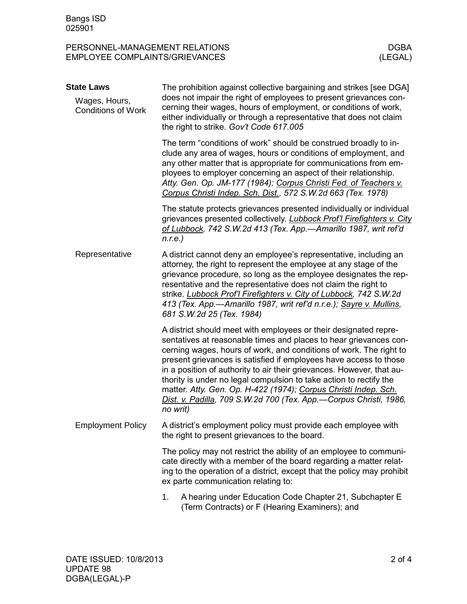PERSONNEL-MANAGEMENT RELATIONS DGBA<br>EMPLOYEE COMPLAINTS/GRIEVANCES (LEGAL) EMPLOYEE COMPLAINTS/GRIEVANCES

| <b>State Laws</b><br>Wages, Hours, | The prohibition against collective bargaining and strikes [see DGA]<br>does not impair the right of employees to present grievances con-                                                                                                                                                                                                                                                                                                                                                                                                                                            |
|------------------------------------|-------------------------------------------------------------------------------------------------------------------------------------------------------------------------------------------------------------------------------------------------------------------------------------------------------------------------------------------------------------------------------------------------------------------------------------------------------------------------------------------------------------------------------------------------------------------------------------|
| <b>Conditions of Work</b>          | cerning their wages, hours of employment, or conditions of work,<br>either individually or through a representative that does not claim<br>the right to strike. Gov't Code 617.005                                                                                                                                                                                                                                                                                                                                                                                                  |
|                                    | The term "conditions of work" should be construed broadly to in-<br>clude any area of wages, hours or conditions of employment, and<br>any other matter that is appropriate for communications from em-<br>ployees to employer concerning an aspect of their relationship.<br>Atty. Gen. Op. JM-177 (1984); Corpus Christi Fed. of Teachers v.<br>Corpus Christi Indep. Sch. Dist., 572 S.W.2d 663 (Tex. 1978)                                                                                                                                                                      |
|                                    | The statute protects grievances presented individually or individual<br>grievances presented collectively. Lubbock Prof'l Firefighters v. City<br>of Lubbock, 742 S.W.2d 413 (Tex. App.-Amarillo 1987, writ ref'd<br>$n.r.e.$ )                                                                                                                                                                                                                                                                                                                                                     |
| Representative                     | A district cannot deny an employee's representative, including an<br>attorney, the right to represent the employee at any stage of the<br>grievance procedure, so long as the employee designates the rep-<br>resentative and the representative does not claim the right to<br>strike. Lubbock Prof'l Firefighters v. City of Lubbock, 742 S.W.2d<br>413 (Tex. App.-Amarillo 1987, writ ref'd n.r.e.); Sayre v. Mullins,<br>681 S.W.2d 25 (Tex. 1984)                                                                                                                              |
|                                    | A district should meet with employees or their designated repre-<br>sentatives at reasonable times and places to hear grievances con-<br>cerning wages, hours of work, and conditions of work. The right to<br>present grievances is satisfied if employees have access to those<br>in a position of authority to air their grievances. However, that au-<br>thority is under no legal compulsion to take action to rectify the<br>matter. Atty. Gen. Op. H-422 (1974); Corpus Christi Indep. Sch.<br>Dist. v. Padilla, 709 S.W.2d 700 (Tex. App.-Corpus Christi, 1986,<br>no writ) |
| <b>Employment Policy</b>           | A district's employment policy must provide each employee with<br>the right to present grievances to the board.                                                                                                                                                                                                                                                                                                                                                                                                                                                                     |
|                                    | The policy may not restrict the ability of an employee to communi-<br>cate directly with a member of the board regarding a matter relat-<br>ing to the operation of a district, except that the policy may prohibit<br>ex parte communication relating to:                                                                                                                                                                                                                                                                                                                          |
|                                    | A hearing under Education Code Chapter 21, Subchapter E<br>1.<br>(Term Contracts) or F (Hearing Examiners); and                                                                                                                                                                                                                                                                                                                                                                                                                                                                     |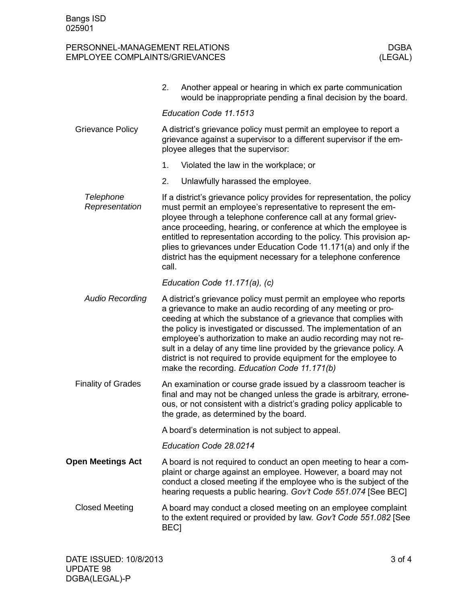## PERSONNEL-MANAGEMENT RELATIONS DERSONNEL-MANAGEMENT RELATIONS DEBA<br>EMPLOYEE COMPLAINTS/GRIEVANCES (LEGAL) EMPLOYEE COMPLAINTS/GRIEVANCES

|                             | Another appeal or hearing in which ex parte communication<br>2.<br>would be inappropriate pending a final decision by the board.                                                                                                                                                                                                                                                                                                                                                                                                            |
|-----------------------------|---------------------------------------------------------------------------------------------------------------------------------------------------------------------------------------------------------------------------------------------------------------------------------------------------------------------------------------------------------------------------------------------------------------------------------------------------------------------------------------------------------------------------------------------|
|                             | Education Code 11.1513                                                                                                                                                                                                                                                                                                                                                                                                                                                                                                                      |
| <b>Grievance Policy</b>     | A district's grievance policy must permit an employee to report a<br>grievance against a supervisor to a different supervisor if the em-<br>ployee alleges that the supervisor:                                                                                                                                                                                                                                                                                                                                                             |
|                             | 1.<br>Violated the law in the workplace; or                                                                                                                                                                                                                                                                                                                                                                                                                                                                                                 |
|                             | 2.<br>Unlawfully harassed the employee.                                                                                                                                                                                                                                                                                                                                                                                                                                                                                                     |
| Telephone<br>Representation | If a district's grievance policy provides for representation, the policy<br>must permit an employee's representative to represent the em-<br>ployee through a telephone conference call at any formal griev-<br>ance proceeding, hearing, or conference at which the employee is<br>entitled to representation according to the policy. This provision ap-<br>plies to grievances under Education Code 11.171(a) and only if the<br>district has the equipment necessary for a telephone conference<br>call.                                |
|                             | Education Code 11.171(a), (c)                                                                                                                                                                                                                                                                                                                                                                                                                                                                                                               |
| <b>Audio Recording</b>      | A district's grievance policy must permit an employee who reports<br>a grievance to make an audio recording of any meeting or pro-<br>ceeding at which the substance of a grievance that complies with<br>the policy is investigated or discussed. The implementation of an<br>employee's authorization to make an audio recording may not re-<br>sult in a delay of any time line provided by the grievance policy. A<br>district is not required to provide equipment for the employee to<br>make the recording. Education Code 11.171(b) |
| <b>Finality of Grades</b>   | An examination or course grade issued by a classroom teacher is<br>final and may not be changed unless the grade is arbitrary, errone-<br>ous, or not consistent with a district's grading policy applicable to<br>the grade, as determined by the board.                                                                                                                                                                                                                                                                                   |
|                             | A board's determination is not subject to appeal.                                                                                                                                                                                                                                                                                                                                                                                                                                                                                           |
|                             | Education Code 28.0214                                                                                                                                                                                                                                                                                                                                                                                                                                                                                                                      |
| <b>Open Meetings Act</b>    | A board is not required to conduct an open meeting to hear a com-<br>plaint or charge against an employee. However, a board may not<br>conduct a closed meeting if the employee who is the subject of the<br>hearing requests a public hearing. Gov't Code 551.074 [See BEC]                                                                                                                                                                                                                                                                |
| <b>Closed Meeting</b>       | A board may conduct a closed meeting on an employee complaint<br>to the extent required or provided by law. Gov't Code 551.082 [See<br><b>BEC1</b>                                                                                                                                                                                                                                                                                                                                                                                          |
|                             |                                                                                                                                                                                                                                                                                                                                                                                                                                                                                                                                             |